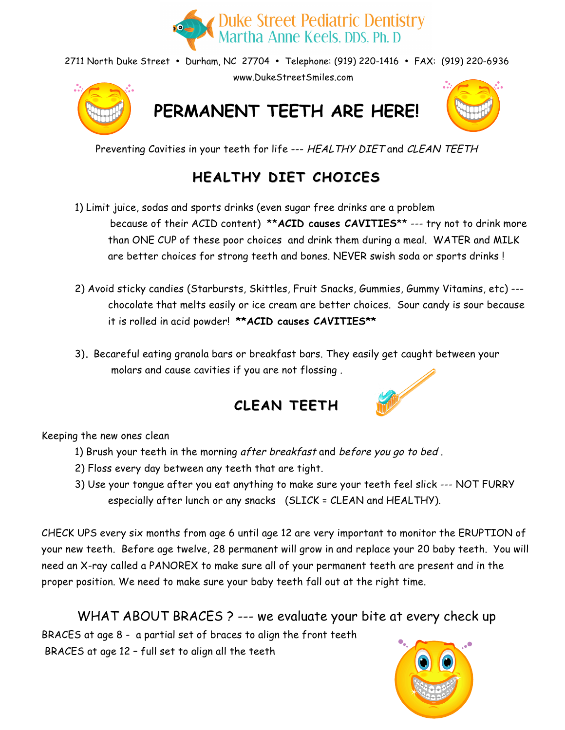

2711 North Duke Street • Durham, NC 27704 • Telephone: (919) 220-1416 • FAX: (919) 220-6936 www.DukeStreetSmiles.com



**PERMANENT TEETH ARE HERE!**



Preventing Cavities in your teeth for life --- HEALTHY DIET and CLEAN TEETH

## **HEALTHY HEALTHY DIET CHOICES**

1) Limit juice, sodas and sports drinks (even sugar free drinks are a problem

because of their ACID content) \*\***ACID causes CAVITIES**\*\* --- try not to drink more than ONE CUP of these poor choices and drink them during a meal. WATER and MILK are better choices for strong teeth and bones. NEVER swish soda or sports drinks !

- 2) Avoid sticky candies (Starbursts, Skittles, Fruit Snacks, Gummies, Gummy Vitamins, etc) -- chocolate that melts easily or ice cream are better choices. Sour candy is sour because it is rolled in acid powder! **\*\*ACID causes CAVITIES\*\***
- 3)**.** Becareful eating granola bars or breakfast bars. They easily get caught between your molars and cause cavities if you are not flossing .



### **CLEAN TEETH**

Keeping the new ones clean

- 1) Brush your teeth in the morning after breakfast and before you go to bed .
- 2) Floss every day between any teeth that are tight.
- 3) Use your tongue after you eat anything to make sure your teeth feel slick --- NOT FURRY especially after lunch or any snacks (SLICK = CLEAN and HEALTHY).

CHECK UPS every six months from age 6 until age 12 are very important to monitor the ERUPTION of your new teeth. Before age twelve, 28 permanent will grow in and replace your 20 baby teeth. You will need an X-ray called a PANOREX to make sure all of your permanent teeth are present and in the proper position. We need to make sure your baby teeth fall out at the right time.

### WHAT ABOUT BRACES ? --- we evaluate your bite at every check up

BRACES at age 8 - a partial set of braces to align the front teeth BRACES at age 12 – full set to align all the teeth